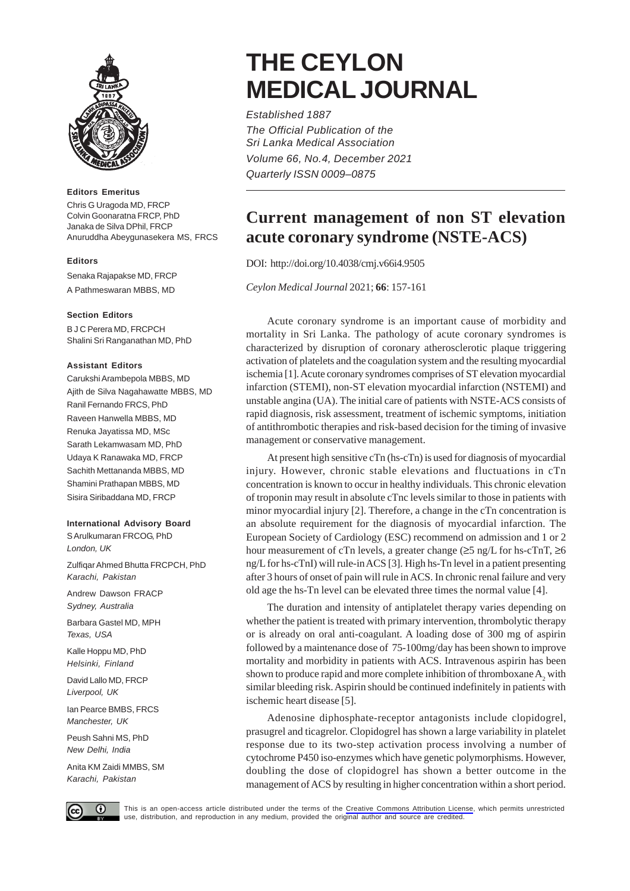

#### **Editors Emeritus**

Chris G Uragoda MD, FRCP Colvin Goonaratna FRCP, PhD Janaka de Silva DPhil, FRCP Anuruddha Abeygunasekera MS, FRCS

## **Editors**

Senaka Rajapakse MD, FRCP

A Pathmeswaran MBBS, MD

### **Section Editors**

B J C Perera MD, FRCPCH Shalini Sri Ranganathan MD, PhD

#### **Assistant Editors**

Carukshi Arambepola MBBS, MD Ajith de Silva Nagahawatte MBBS, MD Ranil Fernando FRCS, PhD Raveen Hanwella MBBS, MD Renuka Jayatissa MD, MSc Sarath Lekamwasam MD, PhD Udaya K Ranawaka MD, FRCP Sachith Mettananda MBBS, MD Shamini Prathapan MBBS, MD Sisira Siribaddana MD, FRCP

# **International Advisory Board**

S Arulkumaran FRCOG, PhD *London, UK*

Zulfiqar Ahmed Bhutta FRCPCH, PhD *Karachi, Pakistan*

Andrew Dawson FRACP *Sydney, Australia*

Barbara Gastel MD, MPH *Texas, USA*

Kalle Hoppu MD, PhD *Helsinki, Finland*

David Lallo MD, FRCP *Liverpool, UK*

Ian Pearce BMBS, FRCS *Manchester, UK*

Peush Sahni MS, PhD *New Delhi, India*

Anita KM Zaidi MMBS, SM *Karachi, Pakistan*

# **THE CEYLON MEDICAL JOURNAL**

*Established 1887 The Official Publication of the Sri Lanka Medical Association Volume 66, No.4, December 2021 Quarterly ISSN 0009–0875*

# **Current management of non ST elevation acute coronary syndrome (NSTE-ACS)**

DOI: http://doi.org/10.4038/cmj.v66i4.9505

*Ceylon Medical Journal* 2021; **66**: 157-161

Acute coronary syndrome is an important cause of morbidity and mortality in Sri Lanka. The pathology of acute coronary syndromes is characterized by disruption of coronary atherosclerotic plaque triggering activation of platelets and the coagulation system and the resulting myocardial ischemia [1]. Acute coronary syndromes comprises of ST elevation myocardial infarction (STEMI), non-ST elevation myocardial infarction (NSTEMI) and unstable angina (UA). The initial care of patients with NSTE-ACS consists of rapid diagnosis, risk assessment, treatment of ischemic symptoms, initiation of antithrombotic therapies and risk-based decision for the timing of invasive management or conservative management.

At present high sensitive cTn (hs-cTn) is used for diagnosis of myocardial injury. However, chronic stable elevations and fluctuations in cTn concentration is known to occur in healthy individuals. This chronic elevation of troponin may result in absolute cTnc levels similar to those in patients with minor myocardial injury [2]. Therefore, a change in the cTn concentration is an absolute requirement for the diagnosis of myocardial infarction. The European Society of Cardiology (ESC) recommend on admission and 1 or 2 hour measurement of cTn levels, a greater change  $(\geq 5 \text{ ng/L}$  for hs-cTnT,  $\geq 6$ ng/L for hs-cTnI) will rule-in ACS [3]. High hs-Tn level in a patient presenting after 3 hours of onset of pain will rule in ACS. In chronic renal failure and very old age the hs-Tn level can be elevated three times the normal value [4].

The duration and intensity of antiplatelet therapy varies depending on whether the patient is treated with primary intervention, thrombolytic therapy or is already on oral anti-coagulant. A loading dose of 300 mg of aspirin followed by a maintenance dose of 75-100mg/day has been shown to improve mortality and morbidity in patients with ACS. Intravenous aspirin has been shown to produce rapid and more complete inhibition of thromboxane  $A_2$  with similar bleeding risk. Aspirin should be continued indefinitely in patients with ischemic heart disease [5].

Adenosine diphosphate-receptor antagonists include clopidogrel, prasugrel and ticagrelor. Clopidogrel has shown a large variability in platelet response due to its two-step activation process involving a number of cytochrome P450 iso-enzymes which have genetic polymorphisms. However, doubling the dose of clopidogrel has shown a better outcome in the management of ACS by resulting in higher concentration within a short period.



This is an open-access article distributed under the terms of the [Creative Commons Attribution License](https://creativecommons.org/licenses/by/4.0/legalcode), which permits unrestricted<br>use, distribution, and reproduction in any medium, provided the original author and source use, distribution, and reproduction in any medium, provided the original author and source are credited.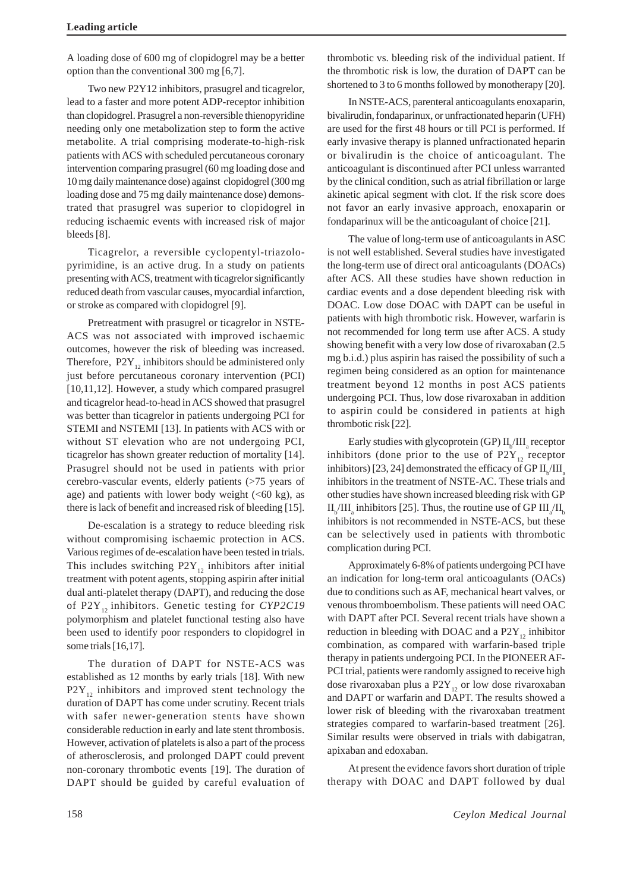A loading dose of 600 mg of clopidogrel may be a better option than the conventional 300 mg [6,7].

Two new P2Y12 inhibitors, prasugrel and ticagrelor, lead to a faster and more potent ADP-receptor inhibition than clopidogrel. Prasugrel a non-reversible thienopyridine needing only one metabolization step to form the active metabolite. A trial comprising moderate-to-high-risk patients with ACS with scheduled percutaneous coronary intervention comparing prasugrel (60 mg loading dose and 10 mg daily maintenance dose) against clopidogrel (300 mg loading dose and 75 mg daily maintenance dose) demonstrated that prasugrel was superior to clopidogrel in reducing ischaemic events with increased risk of major bleeds [8].

Ticagrelor, a reversible cyclopentyl-triazolopyrimidine, is an active drug. In a study on patients presenting with ACS, treatment with ticagrelor significantly reduced death from vascular causes, myocardial infarction, or stroke as compared with clopidogrel [9].

Pretreatment with prasugrel or ticagrelor in NSTE-ACS was not associated with improved ischaemic outcomes, however the risk of bleeding was increased. Therefore,  $P2Y_{12}$  inhibitors should be administered only just before percutaneous coronary intervention (PCI) [10,11,12]. However, a study which compared prasugrel and ticagrelor head-to-head in ACS showed that prasugrel was better than ticagrelor in patients undergoing PCI for STEMI and NSTEMI [13]. In patients with ACS with or without ST elevation who are not undergoing PCI, ticagrelor has shown greater reduction of mortality [14]. Prasugrel should not be used in patients with prior cerebro-vascular events, elderly patients (>75 years of age) and patients with lower body weight  $( $60 \text{ kg}$ ), as$ there is lack of benefit and increased risk of bleeding [15].

De-escalation is a strategy to reduce bleeding risk without compromising ischaemic protection in ACS. Various regimes of de-escalation have been tested in trials. This includes switching  $P2Y_{12}$  inhibitors after initial treatment with potent agents, stopping aspirin after initial dual anti-platelet therapy (DAPT), and reducing the dose of P2Y<sub>12</sub> inhibitors. Genetic testing for *CYP2C19* polymorphism and platelet functional testing also have been used to identify poor responders to clopidogrel in some trials [16,17].

The duration of DAPT for NSTE-ACS was established as 12 months by early trials [18]. With new  $P2Y_{12}$  inhibitors and improved stent technology the duration of DAPT has come under scrutiny. Recent trials with safer newer-generation stents have shown considerable reduction in early and late stent thrombosis. However, activation of platelets is also a part of the process of atherosclerosis, and prolonged DAPT could prevent non-coronary thrombotic events [19]. The duration of DAPT should be guided by careful evaluation of thrombotic vs. bleeding risk of the individual patient. If the thrombotic risk is low, the duration of DAPT can be shortened to 3 to 6 months followed by monotherapy [20].

In NSTE-ACS, parenteral anticoagulants enoxaparin, bivalirudin, fondaparinux, or unfractionated heparin (UFH) are used for the first 48 hours or till PCI is performed. If early invasive therapy is planned unfractionated heparin or bivalirudin is the choice of anticoagulant. The anticoagulant is discontinued after PCI unless warranted by the clinical condition, such as atrial fibrillation or large akinetic apical segment with clot. If the risk score does not favor an early invasive approach, enoxaparin or fondaparinux will be the anticoagulant of choice [21].

The value of long-term use of anticoagulants in ASC is not well established. Several studies have investigated the long-term use of direct oral anticoagulants (DOACs) after ACS. All these studies have shown reduction in cardiac events and a dose dependent bleeding risk with DOAC. Low dose DOAC with DAPT can be useful in patients with high thrombotic risk. However, warfarin is not recommended for long term use after ACS. A study showing benefit with a very low dose of rivaroxaban (2.5 mg b.i.d.) plus aspirin has raised the possibility of such a regimen being considered as an option for maintenance treatment beyond 12 months in post ACS patients undergoing PCI. Thus, low dose rivaroxaban in addition to aspirin could be considered in patients at high thrombotic risk [22].

Early studies with glycoprotein (GP)  $\text{II}_{\text{b}}/\text{III}_{\text{a}}$  receptor inhibitors (done prior to the use of  $P2Y_{12}$  receptor inhibitors) [23, 24] demonstrated the efficacy of GP  $\text{II}_{\text{b}}/\text{III}_{\text{a}}$ inhibitors in the treatment of NSTE-AC. These trials and other studies have shown increased bleeding risk with GP  $II_b/III_a$  inhibitors [25]. Thus, the routine use of GP  $III_a/II_b$ inhibitors is not recommended in NSTE-ACS, but these can be selectively used in patients with thrombotic complication during PCI.

Approximately 6-8% of patients undergoing PCI have an indication for long-term oral anticoagulants (OACs) due to conditions such as AF, mechanical heart valves, or venous thromboembolism. These patients will need OAC with DAPT after PCI. Several recent trials have shown a reduction in bleeding with DOAC and a  $P2Y_{12}$  inhibitor combination, as compared with warfarin-based triple therapy in patients undergoing PCI. In the PIONEER AF-PCI trial, patients were randomly assigned to receive high dose rivaroxaban plus a  $P2Y_{12}$  or low dose rivaroxaban and DAPT or warfarin and DAPT. The results showed a lower risk of bleeding with the rivaroxaban treatment strategies compared to warfarin-based treatment [26]. Similar results were observed in trials with dabigatran, apixaban and edoxaban.

At present the evidence favors short duration of triple therapy with DOAC and DAPT followed by dual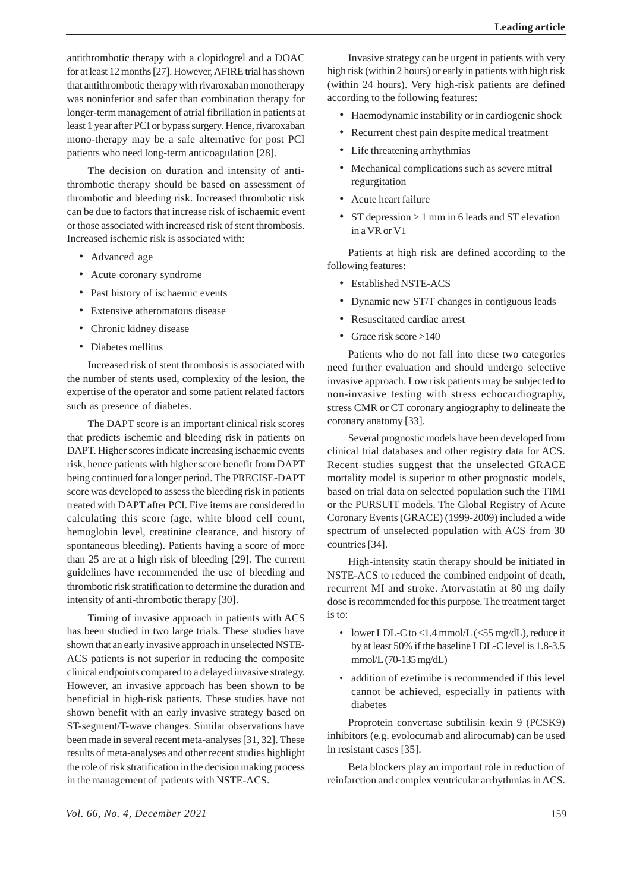antithrombotic therapy with a clopidogrel and a DOAC for at least 12 months [27]. However, AFIRE trial has shown that antithrombotic therapy with rivaroxaban monotherapy was noninferior and safer than combination therapy for longer-term management of atrial fibrillation in patients at least 1 year after PCI or bypass surgery. Hence, rivaroxaban mono-therapy may be a safe alternative for post PCI patients who need long-term anticoagulation [28].

The decision on duration and intensity of antithrombotic therapy should be based on assessment of thrombotic and bleeding risk. Increased thrombotic risk can be due to factors that increase risk of ischaemic event or those associated with increased risk of stent thrombosis. Increased ischemic risk is associated with:

- Advanced age
- Acute coronary syndrome
- Past history of ischaemic events
- Extensive atheromatous disease
- Chronic kidney disease
- Diabetes mellitus

Increased risk of stent thrombosis is associated with the number of stents used, complexity of the lesion, the expertise of the operator and some patient related factors such as presence of diabetes.

The DAPT score is an important clinical risk scores that predicts ischemic and bleeding risk in patients on DAPT. Higher scores indicate increasing ischaemic events risk, hence patients with higher score benefit from DAPT being continued for a longer period. The PRECISE-DAPT score was developed to assess the bleeding risk in patients treated with DAPT after PCI. Five items are considered in calculating this score (age, white blood cell count, hemoglobin level, creatinine clearance, and history of spontaneous bleeding). Patients having a score of more than 25 are at a high risk of bleeding [29]. The current guidelines have recommended the use of bleeding and thrombotic risk stratification to determine the duration and intensity of anti-thrombotic therapy [30].

Timing of invasive approach in patients with ACS has been studied in two large trials. These studies have shown that an early invasive approach in unselected NSTE-ACS patients is not superior in reducing the composite clinical endpoints compared to a delayed invasive strategy. However, an invasive approach has been shown to be beneficial in high-risk patients. These studies have not shown benefit with an early invasive strategy based on ST-segment/T-wave changes. Similar observations have been made in several recent meta-analyses [31, 32]. These results of meta-analyses and other recent studies highlight the role of risk stratification in the decision making process in the management of patients with NSTE-ACS.

Invasive strategy can be urgent in patients with very high risk (within 2 hours) or early in patients with high risk (within 24 hours). Very high-risk patients are defined according to the following features:

- Haemodynamic instability or in cardiogenic shock
- Recurrent chest pain despite medical treatment
- Life threatening arrhythmias
- Mechanical complications such as severe mitral regurgitation
- Acute heart failure
- ST depression > 1 mm in 6 leads and ST elevation in a VR or V1

Patients at high risk are defined according to the following features:

- Established NSTE-ACS
- Dynamic new ST/T changes in contiguous leads
- Resuscitated cardiac arrest
- Grace risk score >140

Patients who do not fall into these two categories need further evaluation and should undergo selective invasive approach. Low risk patients may be subjected to non-invasive testing with stress echocardiography, stress CMR or CT coronary angiography to delineate the coronary anatomy [33].

Several prognostic models have been developed from clinical trial databases and other registry data for ACS. Recent studies suggest that the unselected GRACE mortality model is superior to other prognostic models, based on trial data on selected population such the TIMI or the PURSUIT models. The Global Registry of Acute Coronary Events (GRACE) (1999-2009) included a wide spectrum of unselected population with ACS from 30 countries [34].

High-intensity statin therapy should be initiated in NSTE-ACS to reduced the combined endpoint of death, recurrent MI and stroke. Atorvastatin at 80 mg daily dose is recommended for this purpose. The treatment target is to:

- lower LDL-C to <1.4 mmol/L ( $\leq$ 55 mg/dL), reduce it by at least 50% if the baseline LDL-C level is 1.8-3.5 mmol/L (70-135 mg/dL)
- addition of ezetimibe is recommended if this level cannot be achieved, especially in patients with diabetes

Proprotein convertase subtilisin kexin 9 (PCSK9) inhibitors (e.g. evolocumab and alirocumab) can be used in resistant cases [35].

Beta blockers play an important role in reduction of reinfarction and complex ventricular arrhythmias in ACS.

*Vol. 66, No. 4, December 2021* 159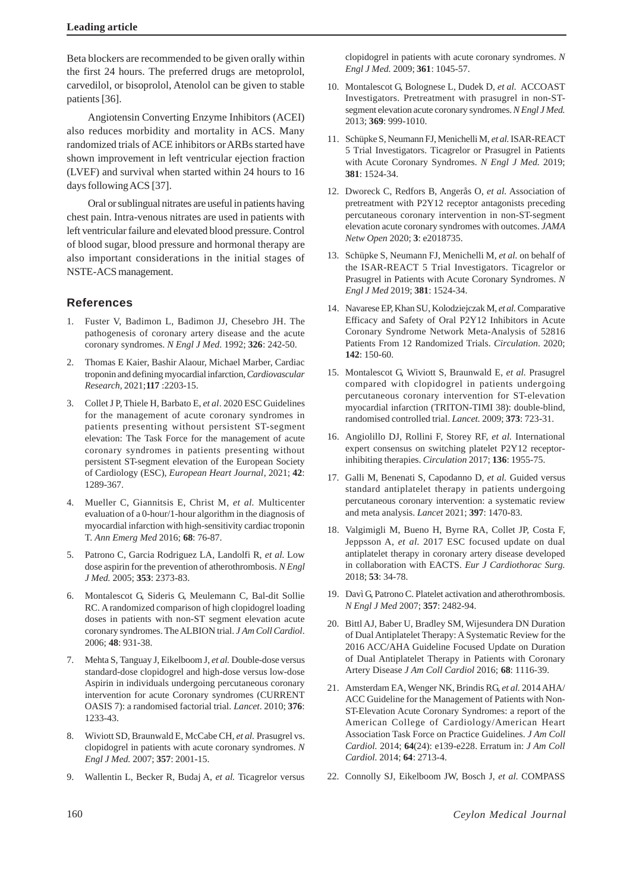Beta blockers are recommended to be given orally within the first 24 hours. The preferred drugs are metoprolol, carvedilol, or bisoprolol, Atenolol can be given to stable patients [36].

Angiotensin Converting Enzyme Inhibitors (ACEI) also reduces morbidity and mortality in ACS. Many randomized trials of ACE inhibitors or ARBs started have shown improvement in left ventricular ejection fraction (LVEF) and survival when started within 24 hours to 16 days following ACS [37].

Oral or sublingual nitrates are useful in patients having chest pain. Intra-venous nitrates are used in patients with left ventricular failure and elevated blood pressure. Control of blood sugar, blood pressure and hormonal therapy are also important considerations in the initial stages of NSTE-ACS management.

# **References**

- 1. Fuster V, Badimon L, Badimon JJ, Chesebro JH. The pathogenesis of coronary artery disease and the acute coronary syndromes. *N Engl J Med*. 1992; **326**: 242-50.
- 2. Thomas E Kaier, Bashir Alaour, Michael Marber, Cardiac troponin and defining myocardial infarction, *Cardiovascular Research*, 2021;**117** :2203-15.
- 3. Collet J P, Thiele H, Barbato E, *et al*. 2020 ESC Guidelines for the management of acute coronary syndromes in patients presenting without persistent ST-segment elevation: The Task Force for the management of acute coronary syndromes in patients presenting without persistent ST-segment elevation of the European Society of Cardiology (ESC), *European Heart Journal*, 2021; **42**: 1289-367.
- 4. Mueller C, Giannitsis E, Christ M, *et al.* Multicenter evaluation of a 0-hour/1-hour algorithm in the diagnosis of myocardial infarction with high-sensitivity cardiac troponin T. *Ann Emerg Med* 2016; **68**: 76-87.
- 5. Patrono C, Garcia Rodriguez LA, Landolfi R, *et al.* Low dose aspirin for the prevention of atherothrombosis. *N Engl J Med.* 2005; **353**: 2373-83.
- 6. Montalescot G, Sideris G, Meulemann C, Bal-dit Sollie RC. A randomized comparison of high clopidogrel loading doses in patients with non-ST segment elevation acute coronary syndromes. The ALBION trial. *J Am Coll Cardiol*. 2006; **48**: 931-38.
- 7. Mehta S, Tanguay J, Eikelboom J, *et al.* Double-dose versus standard-dose clopidogrel and high-dose versus low-dose Aspirin in individuals undergoing percutaneous coronary intervention for acute Coronary syndromes (CURRENT OASIS 7): a randomised factorial trial. *Lancet*. 2010; **376**: 1233-43.
- 8. Wiviott SD, Braunwald E, McCabe CH, *et al.* Prasugrel vs. clopidogrel in patients with acute coronary syndromes. *N Engl J Med.* 2007; **357**: 2001-15.
- 9. Wallentin L, Becker R, Budaj A, *et al.* Ticagrelor versus

clopidogrel in patients with acute coronary syndromes. *N Engl J Med.* 2009; **361**: 1045-57.

- 10. Montalescot G, Bolognese L, Dudek D, *et al.* ACCOAST Investigators. Pretreatment with prasugrel in non-STsegment elevation acute coronary syndromes. *N Engl J Med.* 2013; **369**: 999-1010.
- 11. Schüpke S, Neumann FJ, Menichelli M, *et al.* ISAR-REACT 5 Trial Investigators. Ticagrelor or Prasugrel in Patients with Acute Coronary Syndromes. *N Engl J Med.* 2019; **381**: 1524-34.
- 12. Dworeck C, Redfors B, Angerås O, *et al.* Association of pretreatment with P2Y12 receptor antagonists preceding percutaneous coronary intervention in non-ST-segment elevation acute coronary syndromes with outcomes. *JAMA Netw Open* 2020; **3**: e2018735.
- 13. Schüpke S, Neumann FJ, Menichelli M, *et al.* on behalf of the ISAR-REACT 5 Trial Investigators. Ticagrelor or Prasugrel in Patients with Acute Coronary Syndromes. *N Engl J Med* 2019; **381**: 1524-34.
- 14. Navarese EP, Khan SU, Kolodziejczak M, *et al.* Comparative Efficacy and Safety of Oral P2Y12 Inhibitors in Acute Coronary Syndrome Network Meta-Analysis of 52816 Patients From 12 Randomized Trials. *Circulation*. 2020; **142**: 150-60.
- 15. Montalescot G, Wiviott S, Braunwald E, *et al.* Prasugrel compared with clopidogrel in patients undergoing percutaneous coronary intervention for ST-elevation myocardial infarction (TRITON-TIMI 38): double-blind, randomised controlled trial. *Lancet.* 2009; **373**: 723-31.
- 16. Angiolillo DJ, Rollini F, Storey RF, *et al.* International expert consensus on switching platelet P2Y12 receptorinhibiting therapies. *Circulation* 2017; **136**: 1955-75.
- 17. Galli M, Benenati S, Capodanno D, *et al.* Guided versus standard antiplatelet therapy in patients undergoing percutaneous coronary intervention: a systematic review and meta analysis. *Lancet* 2021; **397**: 1470-83.
- 18. Valgimigli M, Bueno H, Byrne RA, Collet JP, Costa F, Jeppsson A, *et al.* 2017 ESC focused update on dual antiplatelet therapy in coronary artery disease developed in collaboration with EACTS. *Eur J Cardiothorac Surg.* 2018; **53**: 34-78.
- 19. Davì G, Patrono C. Platelet activation and atherothrombosis. *N Engl J Med* 2007; **357**: 2482-94.
- 20. Bittl AJ, Baber U, Bradley SM, Wijesundera DN Duration of Dual Antiplatelet Therapy: A Systematic Review for the 2016 ACC/AHA Guideline Focused Update on Duration of Dual Antiplatelet Therapy in Patients with Coronary Artery Disease *J Am Coll Cardiol* 2016; **68**: 1116-39.
- 21. Amsterdam EA, Wenger NK, Brindis RG, *et al.* 2014 AHA/ ACC Guideline for the Management of Patients with Non-ST-Elevation Acute Coronary Syndromes: a report of the American College of Cardiology/American Heart Association Task Force on Practice Guidelines. *J Am Coll Cardiol.* 2014; **64**(24): e139-e228. Erratum in: *J Am Coll Cardiol.* 2014; **64**: 2713-4.
- 22. Connolly SJ, Eikelboom JW, Bosch J, *et al.* COMPASS